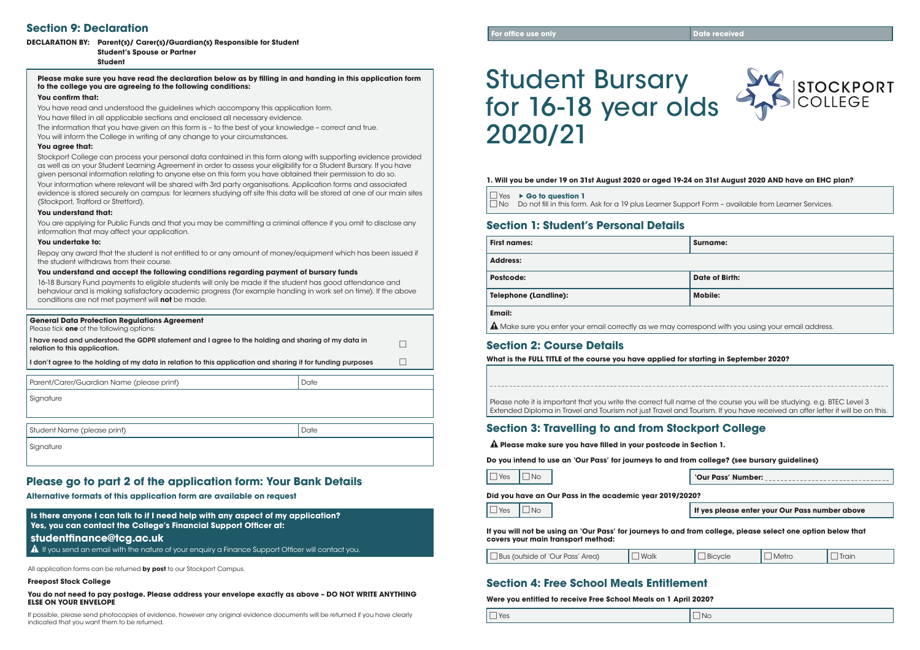# Student Bursary for 16-18 year olds 2020/21

| 1. Will you be under 19 on 31st August 2020 or aged 19-24 |  |  |  |
|-----------------------------------------------------------|--|--|--|
|-----------------------------------------------------------|--|--|--|

## **Section 4: Free School Meals Entitlement**

**Were you entitled to receive Free School Meals on 1 April 2020?**



#### **0. on 31st August 2020 AND have an EHC plan?**

Dort Form – available from Learner Services.

| $\Box$ Yes $\rightarrow$ Go to question 1                                 |
|---------------------------------------------------------------------------|
| $\Box$ No $\Box$ Do not fill in this form. Ask for a 19 plus Learner Supp |

## **Section 1: Student's Personal Details**

**First names: Surname:**

**Postcode: Date of Birth:**

| <b>First names:</b>          | <b>Surnam</b>  |
|------------------------------|----------------|
| <b>Address:</b>              |                |
| <b>Postcode:</b>             | Date of        |
| <b>Telephone (Landline):</b> | <b>Mobile:</b> |
| <b>Email:</b>                |                |

A Make sure you enter your email correctly as we may correspond with you using your email address.

## **Section 2: Course Details**

**What is the FULL TITLE of the course you have applied for starting in September 2020?** 

Please note it is important that you write the correct full name of the course you will be studying. e.g. BTEC Level 3 Extended Diploma in Travel and Tourism not just Travel and Tourism. If you have received an offer letter it will be on this.

## **Section 3: Travelling to and from Stockport College**

 **Please make sure you have filled in your postcode in Section 1.**

**Do you intend to use an 'Our Pass' for journeys to and from college? (see bursary guidelines)** 

Yes No **'Our Pass' Number:** 

If yes please enter your Our Pass number above

**Did you have an Our Pass in the academic year 2019/2020?**

**If you will not be using an 'Our Pass' for journeys to and from college, please select one option below that covers your main transport method:**

| Bus (outside of 'Our Pass' Area) | Walk | Bicycle | Metro | <b>Irain</b> |
|----------------------------------|------|---------|-------|--------------|
|----------------------------------|------|---------|-------|--------------|

**Is there anyone I can talk to if I need help with any aspect of my application? Yes, you can contact the College's Financial Support Officer at: studentfinance@tcg.ac.uk** 

 $\hat{A}$  If you send an email with the nature of your enquiry a Finance Support Officer will contact you.

## **Please go to part 2 of the application form: Your Bank Details**

**Alternative formats of this application form are available on request**

All application forms can be returned **by post** to our Stockport Campus.

#### **Freepost Stock College**

#### **You do not need to pay postage. Please address your envelope exactly as above – DO NOT WRITE ANYTHING ELSE ON YOUR ENVELOPE**

If possible, please send photocopies of evidence, however any original evidence documents will be returned if you have clearly indicated that you want them to be returned.

## **Section 9: Declaration**

### **DECLARATION BY: Parent(s)/ Carer(s)/Guardian(s) Responsible for Student**

### **Student's Spouse or Partner**

**Student**

**Please make sure you have read the declaration below as by filling in and handing in this application form to the college you are agreeing to the following conditions:**

#### **You confirm that:**

You have read and understood the guidelines which accompany this application form. You have filled in all applicable sections and enclosed all necessary evidence.

The information that you have given on this form is – to the best of your knowledge – correct and true.

You will inform the College in writing of any change to your circumstances.

### **You agree that:**

Stockport College can process your personal data contained in this form along with supporting evidence provided as well as on your Student Learning Agreement in order to assess your eligibility for a Student Bursary. If you have given personal information relating to anyone else on this form you have obtained their permission to do so.

Your information where relevant will be shared with 3rd party organisations. Application forms and associated evidence is stored securely on campus: for learners studying off site this data will be stored at one of our main sites (Stockport, Trafford or Stretford).

### **You understand that:**

You are applying for Public Funds and that you may be committing a criminal offence if you omit to disclose any information that may affect your application.

### **You undertake to:**

Repay any award that the student is not entitled to or any amount of money/equipment which has been issued if the student withdraws from their course.

### **You understand and accept the following conditions regarding payment of bursary funds**

16-18 Bursary Fund payments to eligible students will only be made if the student has good attendance and behaviour and is making satisfactory academic progress (for example handing in work set on time). If the above conditions are not met payment will **not** be made.

### **General Data Protection Regulations Agreement**

Please tick **one** of the following options:

I have read and understood the GDPR statement and I agree to the holding and sharing of my data in relation to this application.

I don't agree to the holding of my data in relation to this application and sharing it for funding purposes  $\Box$ 

Parent/Carer/Guardian Name (please print) Date

**Signature** 

Student Name (please print) and the contract of the contract of the contract of the contract of the contract of  $\Box$ 

Sianature